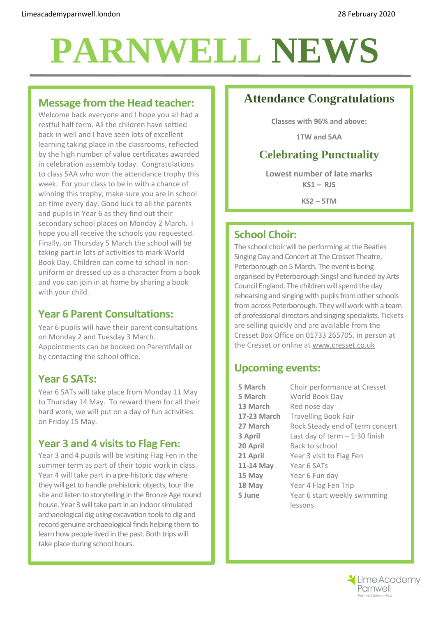# **PARNWELL NEWS**

#### **Message from the Head teacher:**

Welcome back everyone and I hope you all had a restful half term. All the children have settled back in well and I have seen lots of excellent learning taking place in the classrooms, reflected by the high number of value certificates awarded in celebration assembly today. Congratulations to class 5AA who won the attendance trophy this week. For your class to be in with a chance of winning this trophy, make sure you are in school on time every day. Good luck to all the parents and pupils in Year 6 as they find out their secondary school places on Monday 2 March. I hope you all receive the schools you requested. Finally, on Thursday 5 March the school will be taking part in lots of activities to mark World Book Day. Children can come to school in nonuniform or dressed up as a character from a book and you can join in at home by sharing a book with your child.

#### **Year 6 Parent Consultations:**

Year 6 pupils will have their parent consultations on Monday 2 and Tuesday 3 March. Appointments can be booked on ParentMail or by contacting the school office.

#### **Year 6 SATs:**

Year 6 SATs will take place from Monday 11 May to Thursday 14 May. To reward them for all their hard work, we will put on a day of fun activities on Friday 15 May.

#### **Year 3 and 4 visits to Flag Fen:**

Year 3 and 4 pupils will be visiting Flag Fen in the summer term as part of their topic work in class. Year 4 will take part in a pre-historic day where they will get to handle prehistoric objects, tour the site and listen to storytelling in the Bronze Age round house. Year 3 will take part in an indoor simulated archaeological dig using excavation tools to dig and record genuine archaeological finds helping them to learn how people lived in the past. Both trips will take place during school hours.

# **Attendance Congratulations**

**Classes with 96% and above:**

**1TW and 5AA**

# **Celebrating Punctuality**

**Lowest number of late marks KS1 – RJS**

**KS2 – 5TM**

#### **School Choir:**

The school choir will be performing at the Beatles Singing Day and Concert at The Cresset Theatre, Peterborough on 5 March. The event is being organised by Peterborough Sings! and funded by Arts Council England. The children will spend the day rehearsing and singing with pupils from other schools from across Peterborough. They will work with a team of professional directors and singing specialists. Tickets are selling quickly and are available from the Cresset Box Office on 01733 265705, in person at the Cresset or online at [www.cresset.co.uk](http://www.cresset.co.uk/)

#### **Upcoming events:**

| 5 March     | Choir performance at Cresset    |
|-------------|---------------------------------|
| 5 March     | World Book Day                  |
| 13 March    | Red nose day                    |
| 17-23 March | <b>Travelling Book Fair</b>     |
| 27 March    | Rock Steady end of term concert |
| 3 April     | Last day of term $-1:30$ finish |
| 20 April    | Back to school                  |
| 21 April    | Year 3 visit to Flag Fen        |
| 11-14 May   | Year 6 SATs                     |
| 15 May      | Year 6 Fun day                  |
| 18 May      | Year 4 Flag Fen Trip            |
| 5 June      | Year 6 start weekly swimming    |
|             | lessons                         |